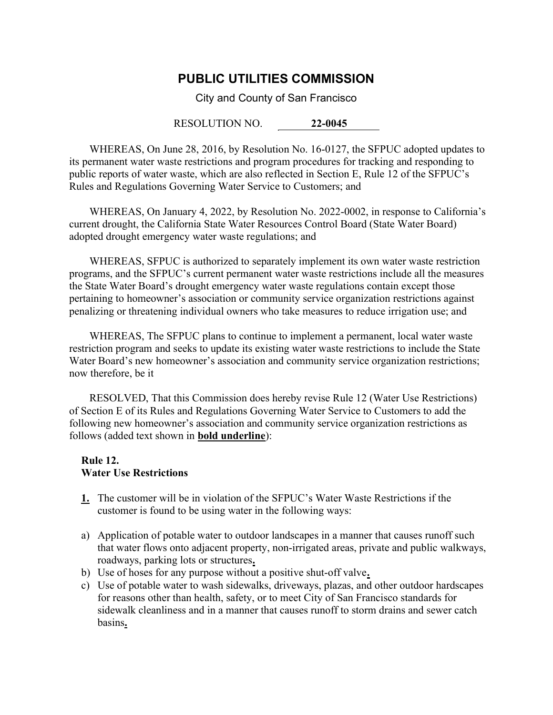## PUBLIC UTILITIES COMMISSION

City and County of San Francisco

RESOLUTION NO. 22-0045

WHEREAS, On June 28, 2016, by Resolution No. 16-0127, the SFPUC adopted updates to its permanent water waste restrictions and program procedures for tracking and responding to public reports of water waste, which are also reflected in Section E, Rule 12 of the SFPUC's Rules and Regulations Governing Water Service to Customers; and

WHEREAS, On January 4, 2022, by Resolution No. 2022-0002, in response to California's current drought, the California State Water Resources Control Board (State Water Board) adopted drought emergency water waste regulations; and

WHEREAS, SFPUC is authorized to separately implement its own water waste restriction programs, and the SFPUC's current permanent water waste restrictions include all the measures the State Water Board's drought emergency water waste regulations contain except those pertaining to homeowner's association or community service organization restrictions against penalizing or threatening individual owners who take measures to reduce irrigation use; and

WHEREAS, The SFPUC plans to continue to implement a permanent, local water waste restriction program and seeks to update its existing water waste restrictions to include the State Water Board's new homeowner's association and community service organization restrictions; now therefore, be it

RESOLVED, That this Commission does hereby revise Rule 12 (Water Use Restrictions) of Section E of its Rules and Regulations Governing Water Service to Customers to add the following new homeowner's association and community service organization restrictions as follows (added text shown in bold underline):

## Rule 12. Water Use Restrictions

- 1. The customer will be in violation of the SFPUC's Water Waste Restrictions if the customer is found to be using water in the following ways:
- a) Application of potable water to outdoor landscapes in a manner that causes runoff such that water flows onto adjacent property, non-irrigated areas, private and public walkways, roadways, parking lots or structures.
- b) Use of hoses for any purpose without a positive shut-off valve.
- c) Use of potable water to wash sidewalks, driveways, plazas, and other outdoor hardscapes for reasons other than health, safety, or to meet City of San Francisco standards for sidewalk cleanliness and in a manner that causes runoff to storm drains and sewer catch basins.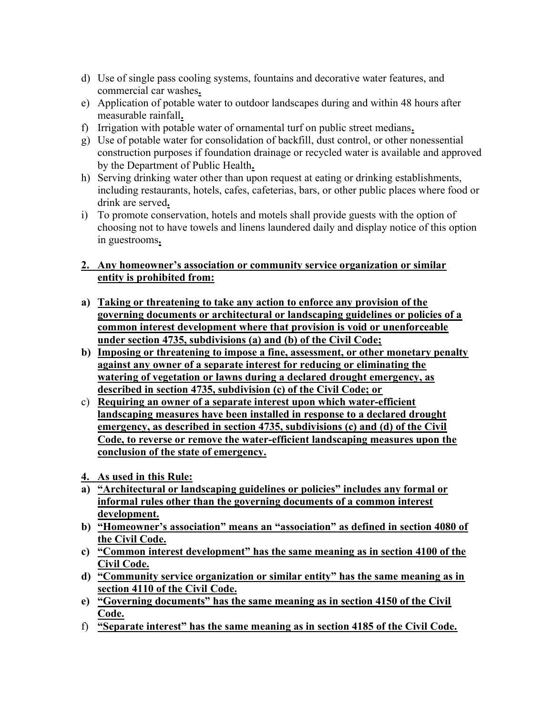- d) Use of single pass cooling systems, fountains and decorative water features, and commercial car washes.
- e) Application of potable water to outdoor landscapes during and within 48 hours after measurable rainfall.
- f) Irrigation with potable water of ornamental turf on public street medians.
- g) Use of potable water for consolidation of backfill, dust control, or other nonessential construction purposes if foundation drainage or recycled water is available and approved by the Department of Public Health.
- h) Serving drinking water other than upon request at eating or drinking establishments, including restaurants, hotels, cafes, cafeterias, bars, or other public places where food or drink are served.
- i) To promote conservation, hotels and motels shall provide guests with the option of choosing not to have towels and linens laundered daily and display notice of this option in guestrooms.

## 2. Any homeowner's association or community service organization or similar entity is prohibited from:

- a) Taking or threatening to take any action to enforce any provision of the governing documents or architectural or landscaping guidelines or policies of a common interest development where that provision is void or unenforceable under section 4735, subdivisions (a) and (b) of the Civil Code;
- b) Imposing or threatening to impose a fine, assessment, or other monetary penalty against any owner of a separate interest for reducing or eliminating the watering of vegetation or lawns during a declared drought emergency, as described in section 4735, subdivision (c) of the Civil Code; or
- c) Requiring an owner of a separate interest upon which water-efficient landscaping measures have been installed in response to a declared drought emergency, as described in section 4735, subdivisions (c) and (d) of the Civil Code, to reverse or remove the water-efficient landscaping measures upon the conclusion of the state of emergency.
- 4. As used in this Rule:
- a) "Architectural or landscaping guidelines or policies" includes any formal or informal rules other than the governing documents of a common interest development.
- b) "Homeowner's association" means an "association" as defined in section 4080 of the Civil Code.
- c) "Common interest development" has the same meaning as in section 4100 of the Civil Code.
- d) "Community service organization or similar entity" has the same meaning as in section 4110 of the Civil Code.
- e) "Governing documents" has the same meaning as in section 4150 of the Civil Code.
- f) "Separate interest" has the same meaning as in section 4185 of the Civil Code.